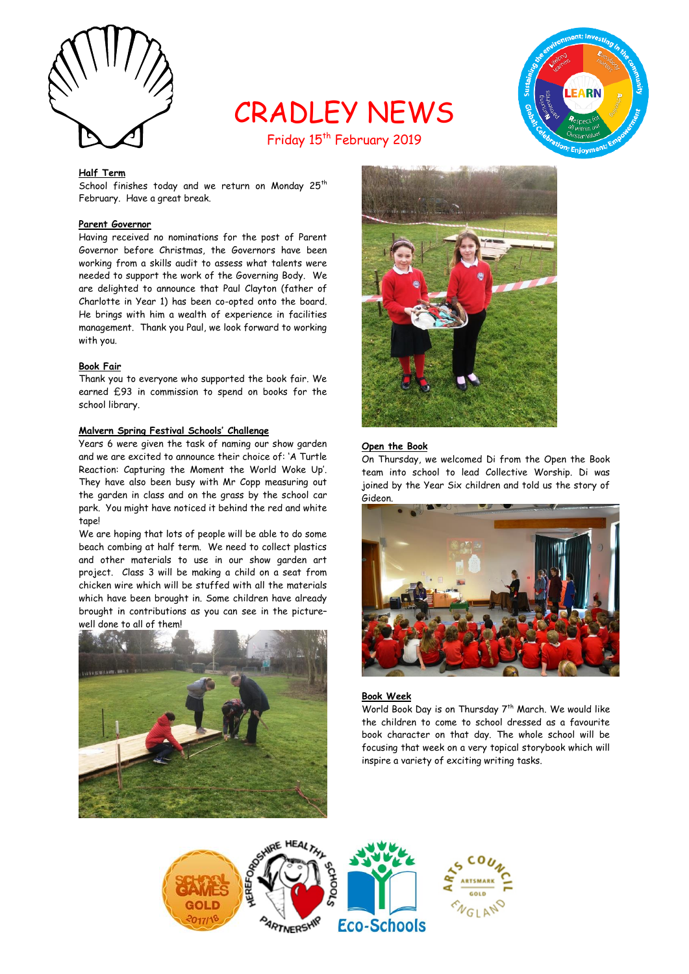

CRADLEY NEWS Friday 15<sup>th</sup> February 2019



# **Half Term**

School finishes today and we return on Monday 25<sup>th</sup> February. Have a great break.

## **Parent Governor**

Having received no nominations for the post of Parent Governor before Christmas, the Governors have been working from a skills audit to assess what talents were needed to support the work of the Governing Body. We are delighted to announce that Paul Clayton (father of Charlotte in Year 1) has been co-opted onto the board. He brings with him a wealth of experience in facilities management. Thank you Paul, we look forward to working with you.

#### **Book Fair**

Thank you to everyone who supported the book fair. We earned £93 in commission to spend on books for the school library.

#### **Malvern Spring Festival Schools' Challenge**

Years 6 were given the task of naming our show garden and we are excited to announce their choice of: 'A Turtle Reaction: Capturing the Moment the World Woke Up'. They have also been busy with Mr Copp measuring out the garden in class and on the grass by the school car park. You might have noticed it behind the red and white tane!

We are hoping that lots of people will be able to do some beach combing at half term. We need to collect plastics and other materials to use in our show garden art project. Class 3 will be making a child on a seat from chicken wire which will be stuffed with all the materials which have been brought in. Some children have already brought in contributions as you can see in the picture– well done to all of them!





#### **Open the Book**

On Thursday, we welcomed Di from the Open the Book team into school to lead Collective Worship. Di was joined by the Year Six children and told us the story of Gideon.



#### **Book Week**

World Book Day is on Thursday 7<sup>th</sup> March. We would like the children to come to school dressed as a favourite book character on that day. The whole school will be focusing that week on a very topical storybook which will inspire a variety of exciting writing tasks.

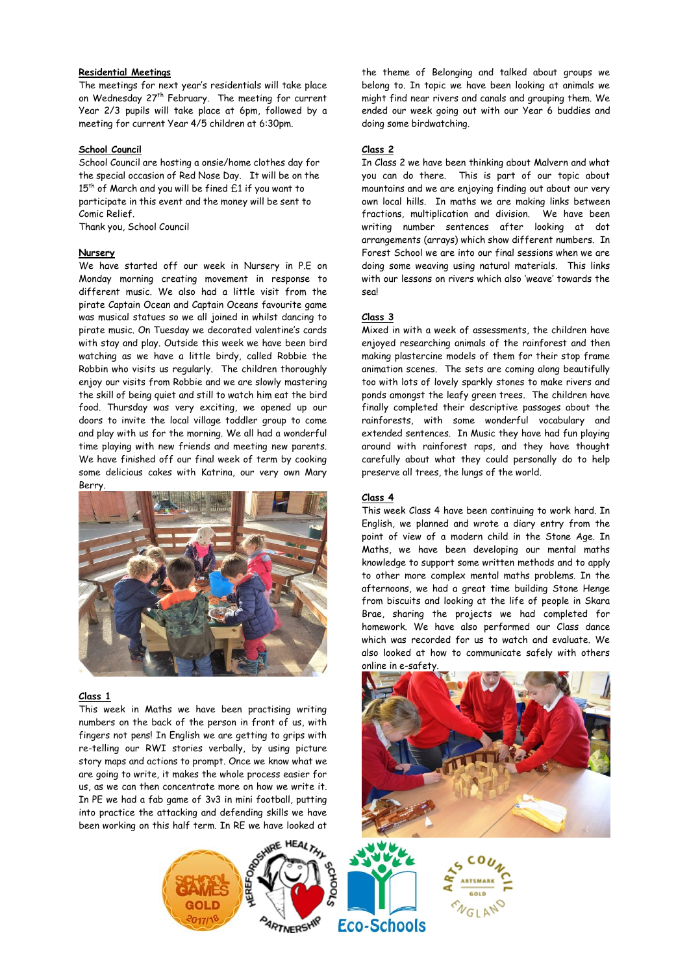## **Residential Meetings**

The meetings for next year's residentials will take place on Wednesday 27<sup>th</sup> February. The meeting for current Year 2/3 pupils will take place at 6pm, followed by a meeting for current Year 4/5 children at 6:30pm.

### **School Council**

School Council are hosting a onsie/home clothes day for the special occasion of Red Nose Day. It will be on the  $15<sup>th</sup>$  of March and you will be fined  $£1$  if you want to participate in this event and the money will be sent to Comic Relief.

Thank you, School Council

#### **Nursery**

We have started off our week in Nursery in P.E on Monday morning creating movement in response to different music. We also had a little visit from the pirate Captain Ocean and Captain Oceans favourite game was musical statues so we all joined in whilst dancing to pirate music. On Tuesday we decorated valentine's cards with stay and play. Outside this week we have been bird watching as we have a little birdy, called Robbie the Robbin who visits us regularly. The children thoroughly enjoy our visits from Robbie and we are slowly mastering the skill of being quiet and still to watch him eat the bird food. Thursday was very exciting, we opened up our doors to invite the local village toddler group to come and play with us for the morning. We all had a wonderful time playing with new friends and meeting new parents. We have finished off our final week of term by cooking some delicious cakes with Katrina, our very own Mary Berry.



#### **Class 1**

This week in Maths we have been practising writing numbers on the back of the person in front of us, with fingers not pens! In English we are getting to grips with re-telling our RWI stories verbally, by using picture story maps and actions to prompt. Once we know what we are going to write, it makes the whole process easier for us, as we can then concentrate more on how we write it. In PE we had a fab game of 3v3 in mini football, putting into practice the attacking and defending skills we have been working on this half term. In RE we have looked at

the theme of Belonging and talked about groups we belong to. In topic we have been looking at animals we might find near rivers and canals and grouping them. We ended our week going out with our Year 6 buddies and doing some birdwatching.

### **Class 2**

In Class 2 we have been thinking about Malvern and what you can do there. This is part of our topic about mountains and we are enjoying finding out about our very own local hills. In maths we are making links between fractions, multiplication and division. We have been writing number sentences after looking at dot arrangements (arrays) which show different numbers. In Forest School we are into our final sessions when we are doing some weaving using natural materials. This links with our lessons on rivers which also 'weave' towards the seal

### **Class 3**

Mixed in with a week of assessments, the children have enjoyed researching animals of the rainforest and then making plastercine models of them for their stop frame animation scenes. The sets are coming along beautifully too with lots of lovely sparkly stones to make rivers and ponds amongst the leafy green trees. The children have finally completed their descriptive passages about the rainforests, with some wonderful vocabulary and extended sentences. In Music they have had fun playing around with rainforest raps, and they have thought carefully about what they could personally do to help preserve all trees, the lungs of the world.

## **Class 4**

This week Class 4 have been continuing to work hard. In English, we planned and wrote a diary entry from the point of view of a modern child in the Stone Age. In Maths, we have been developing our mental maths knowledge to support some written methods and to apply to other more complex mental maths problems. In the afternoons, we had a great time building Stone Henge from biscuits and looking at the life of people in Skara Brae, sharing the projects we had completed for homework. We have also performed our Class dance which was recorded for us to watch and evaluate. We also looked at how to communicate safely with others online in e-safety.